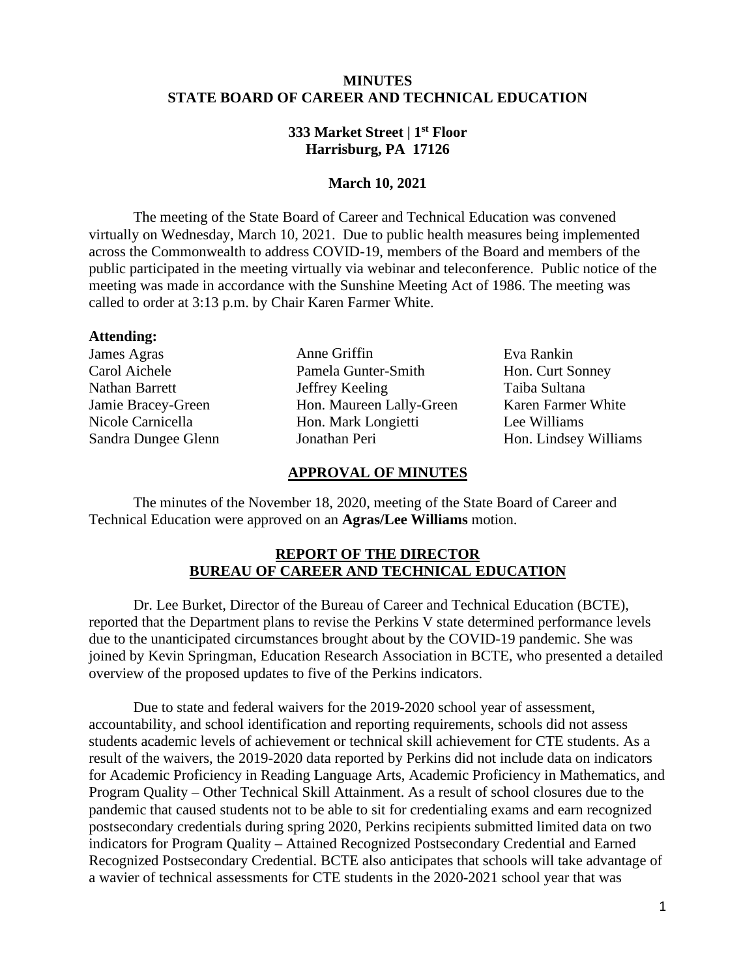# **MINUTES STATE BOARD OF CAREER AND TECHNICAL EDUCATION**

## **333 Market Street | 1st Floor Harrisburg, PA 17126**

#### **March 10, 2021**

The meeting of the State Board of Career and Technical Education was convened virtually on Wednesday, March 10, 2021. Due to public health measures being implemented across the Commonwealth to address COVID-19, members of the Board and members of the public participated in the meeting virtually via webinar and teleconference. Public notice of the meeting was made in accordance with the Sunshine Meeting Act of 1986. The meeting was called to order at 3:13 p.m. by Chair Karen Farmer White.

#### **Attending:**

James Agras Carol Aichele Nathan Barrett Jamie Bracey-Green Nicole Carnicella Sandra Dungee Glenn

Anne Griffin Pamela Gunter-Smith Jeffrey Keeling Hon. Maureen Lally-Green Hon. Mark Longietti Jonathan Peri

Eva Rankin Hon. Curt Sonney Taiba Sultana Karen Farmer White Lee Williams Hon. Lindsey Williams

#### **APPROVAL OF MINUTES**

The minutes of the November 18, 2020, meeting of the State Board of Career and Technical Education were approved on an **Agras/Lee Williams** motion.

## **REPORT OF THE DIRECTOR BUREAU OF CAREER AND TECHNICAL EDUCATION**

Dr. Lee Burket, Director of the Bureau of Career and Technical Education (BCTE), reported that the Department plans to revise the Perkins V state determined performance levels due to the unanticipated circumstances brought about by the COVID-19 pandemic. She was joined by Kevin Springman, Education Research Association in BCTE, who presented a detailed overview of the proposed updates to five of the Perkins indicators.

Due to state and federal waivers for the 2019-2020 school year of assessment, accountability, and school identification and reporting requirements, schools did not assess students academic levels of achievement or technical skill achievement for CTE students. As a result of the waivers, the 2019-2020 data reported by Perkins did not include data on indicators for Academic Proficiency in Reading Language Arts, Academic Proficiency in Mathematics, and Program Quality – Other Technical Skill Attainment. As a result of school closures due to the pandemic that caused students not to be able to sit for credentialing exams and earn recognized postsecondary credentials during spring 2020, Perkins recipients submitted limited data on two indicators for Program Quality – Attained Recognized Postsecondary Credential and Earned Recognized Postsecondary Credential. BCTE also anticipates that schools will take advantage of a wavier of technical assessments for CTE students in the 2020-2021 school year that was